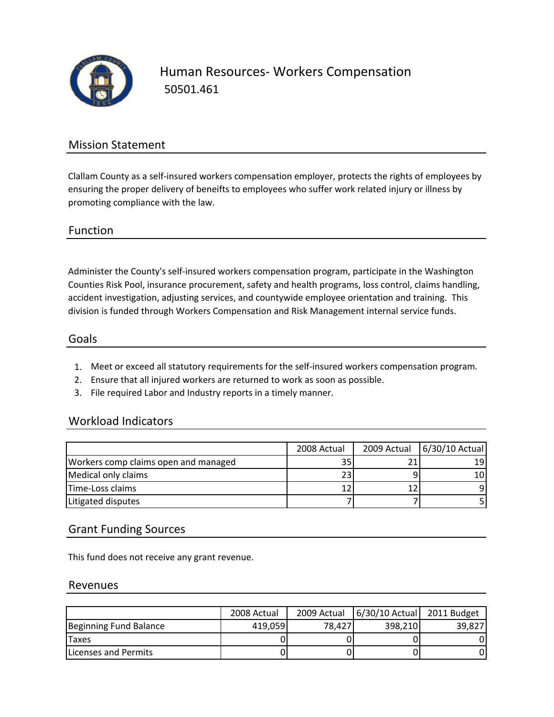

Human Resources‐ Workers Compensation 50501.461

## Mission Statement

Clallam County as a self‐insured workers compensation employer, protects the rights of employees by ensuring the proper delivery of beneifts to employees who suffer work related injury or illness by promoting compliance with the law.

#### Function

Administer the County's self‐insured workers compensation program, participate in the Washington Counties Risk Pool, insurance procurement, safety and health programs, loss control, claims handling, accident investigation, adjusting services, and countywide employee orientation and training. This division is funded through Workers Compensation and Risk Management internal service funds.

#### Goals

- 1. Meet or exceed all statutory requirements for the self‐insured workers compensation program.
- 2. Ensure that all injured workers are returned to work as soon as possible.
- 3. File required Labor and Industry reports in a timely manner.

### Workload Indicators

|                                      | 2008 Actual | 2009 Actual 6/30/10 Actual |
|--------------------------------------|-------------|----------------------------|
| Workers comp claims open and managed | 35          | 191                        |
| Medical only claims                  |             | 10I                        |
| Time-Loss claims                     |             |                            |
| Litigated disputes                   |             |                            |

### Grant Funding Sources

This fund does not receive any grant revenue.

#### Revenues

|                              | 2008 Actual | 2009 Actual | 6/30/10 Actual | 2011 Budget |
|------------------------------|-------------|-------------|----------------|-------------|
| Beginning Fund Balance       | 419.059     | 78.427      | 398.210        | 39.827      |
| Taxes                        |             |             |                |             |
| <b>ILicenses and Permits</b> |             |             |                |             |